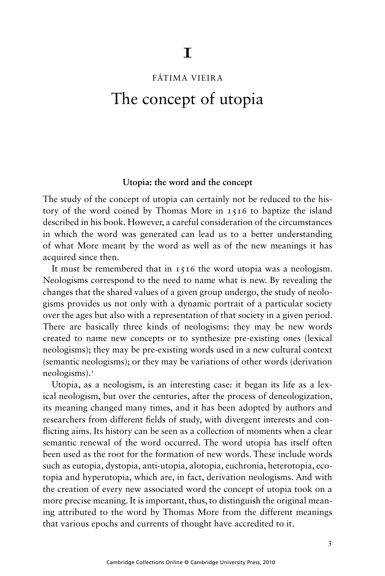# The concept of utopia FÁTIMA VIEIRA

## **Utopia: the word and the concept**

The study of the concept of utopia can certainly not be reduced to the history of the word coined by Thomas More in 1516 to baptize the island described in his book. However, a careful consideration of the circumstances in which the word was generated can lead us to a better understanding of what More meant by the word as well as of the new meanings it has acquired since then.

It must be remembered that in 1516 the word utopia was a neologism. Neologisms correspond to the need to name what is new. By revealing the changes that the shared values of a given group undergo, the study of neologisms provides us not only with a dynamic portrait of a particular society over the ages but also with a representation of that society in a given period. There are basically three kinds of neologisms: they may be new words created to name new concepts or to synthesize pre-existing ones (lexical neologisms); they may be pre-existing words used in a new cultural context (semantic neologisms); or they may be variations of other words (derivation  $neologisms$ .

Utopia, as a neologism, is an interesting case: it began its life as a lexical neologism, but over the centuries, after the process of deneologization, its meaning changed many times, and it has been adopted by authors and researchers from different fields of study, with divergent interests and conflicting aims. Its history can be seen as a collection of moments when a clear semantic renewal of the word occurred. The word utopia has itself often been used as the root for the formation of new words. These include words such as eutopia, dystopia, anti-utopia, alotopia, euchronia, heterotopia, ecotopia and hyperutopia, which are, in fact, derivation neologisms. And with the creation of every new associated word the concept of utopia took on a more precise meaning. It is important, thus, to distinguish the original meaning attributed to the word by Thomas More from the different meanings that various epochs and currents of thought have accredited to it.

3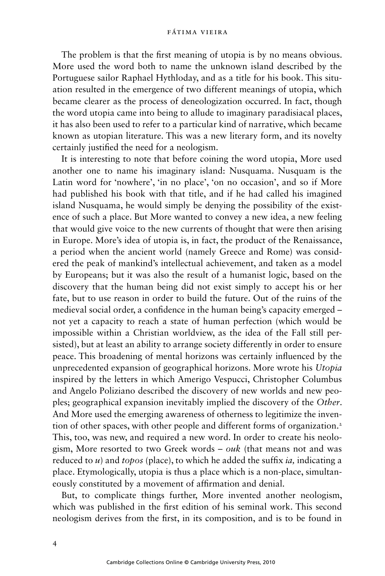The problem is that the first meaning of utopia is by no means obvious. More used the word both to name the unknown island described by the Portuguese sailor Raphael Hythloday, and as a title for his book. This situation resulted in the emergence of two different meanings of utopia, which became clearer as the process of deneologization occurred. In fact, though the word utopia came into being to allude to imaginary paradisiacal places, it has also been used to refer to a particular kind of narrative, which became known as utopian literature. This was a new literary form, and its novelty certainly justified the need for a neologism.

It is interesting to note that before coining the word utopia, More used another one to name his imaginary island: Nusquama. Nusquam is the Latin word for 'nowhere', 'in no place', 'on no occasion', and so if More had published his book with that title, and if he had called his imagined island Nusquama, he would simply be denying the possibility of the existence of such a place. But More wanted to convey a new idea, a new feeling that would give voice to the new currents of thought that were then arising in Europe. More's idea of utopia is, in fact, the product of the Renaissance, a period when the ancient world (namely Greece and Rome) was considered the peak of mankind's intellectual achievement, and taken as a model by Europeans; but it was also the result of a humanist logic, based on the discovery that the human being did not exist simply to accept his or her fate, but to use reason in order to build the future. Out of the ruins of the medieval social order, a confidence in the human being's capacity emerged – not yet a capacity to reach a state of human perfection (which would be impossible within a Christian worldview, as the idea of the Fall still persisted), but at least an ability to arrange society differently in order to ensure peace. This broadening of mental horizons was certainly influenced by the unprecedented expansion of geographical horizons. More wrote his *Utopia* inspired by the letters in which Amerigo Vespucci, Christopher Columbus and Angelo Poliziano described the discovery of new worlds and new peoples; geographical expansion inevitably implied the discovery of the *Other*. And More used the emerging awareness of otherness to legitimize the invention of other spaces, with other people and different forms of organization.<sup>2</sup> This, too, was new, and required a new word. In order to create his neologism, More resorted to two Greek words – *ouk* (that means not and was reduced to  $u$ ) and *topos* (place), to which he added the suffix *ia*, indicating a place. Etymologically, utopia is thus a place which is a non-place, simultaneously constituted by a movement of affirmation and denial.

But, to complicate things further, More invented another neologism, which was published in the first edition of his seminal work. This second neologism derives from the first, in its composition, and is to be found in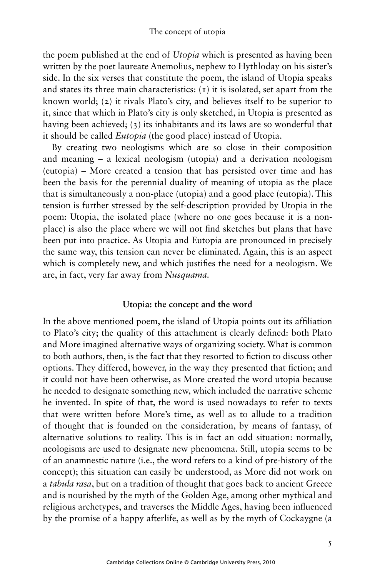the poem published at the end of *Utopia* which is presented as having been written by the poet laureate Anemolius, nephew to Hythloday on his sister's side. In the six verses that constitute the poem, the island of Utopia speaks and states its three main characteristics:  $(1)$  it is isolated, set apart from the known world; (2) it rivals Plato's city, and believes itself to be superior to it, since that which in Plato's city is only sketched, in Utopia is presented as having been achieved; (3) its inhabitants and its laws are so wonderful that it should be called *Eutopia* (the good place) instead of Utopia.

By creating two neologisms which are so close in their composition and meaning – a lexical neologism (utopia) and a derivation neologism (eutopia) – More created a tension that has persisted over time and has been the basis for the perennial duality of meaning of utopia as the place that is simultaneously a non-place (utopia) and a good place (eutopia). This tension is further stressed by the self-description provided by Utopia in the poem: Utopia, the isolated place (where no one goes because it is a nonplace) is also the place where we will not find sketches but plans that have been put into practice. As Utopia and Eutopia are pronounced in precisely the same way, this tension can never be eliminated. Again, this is an aspect which is completely new, and which justifies the need for a neologism. We are, in fact, very far away from *Nusquama.*

# **Utopia: the concept and the word**

In the above mentioned poem, the island of Utopia points out its affiliation to Plato's city; the quality of this attachment is clearly defined: both Plato and More imagined alternative ways of organizing society. What is common to both authors, then, is the fact that they resorted to fiction to discuss other options. They differed, however, in the way they presented that fiction; and it could not have been otherwise, as More created the word utopia because he needed to designate something new, which included the narrative scheme he invented. In spite of that, the word is used nowadays to refer to texts that were written before More's time, as well as to allude to a tradition of thought that is founded on the consideration, by means of fantasy, of alternative solutions to reality. This is in fact an odd situation: normally, neologisms are used to designate new phenomena. Still, utopia seems to be of an anamnestic nature (i.e., the word refers to a kind of pre-history of the concept); this situation can easily be understood, as More did not work on a *tabula rasa*, but on a tradition of thought that goes back to ancient Greece and is nourished by the myth of the Golden Age, among other mythical and religious archetypes, and traverses the Middle Ages, having been influenced by the promise of a happy afterlife, as well as by the myth of Cockaygne (a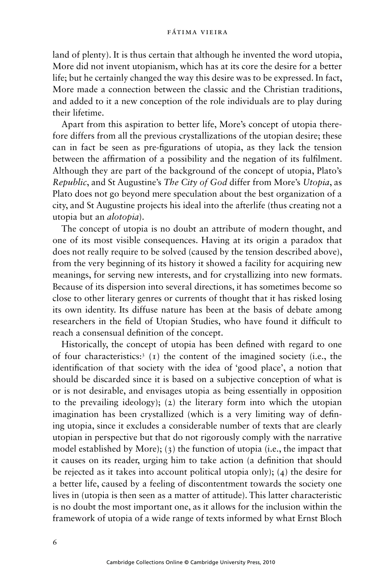land of plenty). It is thus certain that although he invented the word utopia, More did not invent utopianism, which has at its core the desire for a better life; but he certainly changed the way this desire was to be expressed. In fact, More made a connection between the classic and the Christian traditions, and added to it a new conception of the role individuals are to play during their lifetime.

Apart from this aspiration to better life, More's concept of utopia therefore differs from all the previous crystallizations of the utopian desire; these can in fact be seen as pre-figurations of utopia, as they lack the tension between the affirmation of a possibility and the negation of its fulfilment. Although they are part of the background of the concept of utopia, Plato's *Republic*, and St Augustine's *The City of God* differ from More's *Utopia*, as Plato does not go beyond mere speculation about the best organization of a city, and St Augustine projects his ideal into the afterlife (thus creating not a utopia but an *alotopia* ).

The concept of utopia is no doubt an attribute of modern thought, and one of its most visible consequences. Having at its origin a paradox that does not really require to be solved (caused by the tension described above), from the very beginning of its history it showed a facility for acquiring new meanings, for serving new interests, and for crystallizing into new formats. Because of its dispersion into several directions, it has sometimes become so close to other literary genres or currents of thought that it has risked losing its own identity. Its diffuse nature has been at the basis of debate among researchers in the field of Utopian Studies, who have found it difficult to reach a consensual definition of the concept.

Historically, the concept of utopia has been defined with regard to one of four characteristics:  $(i)$  (1) the content of the imagined society (i.e., the identification of that society with the idea of 'good place', a notion that should be discarded since it is based on a subjective conception of what is or is not desirable, and envisages utopia as being essentially in opposition to the prevailing ideology); (2) the literary form into which the utopian imagination has been crystallized (which is a very limiting way of defining utopia, since it excludes a considerable number of texts that are clearly utopian in perspective but that do not rigorously comply with the narrative model established by More); (3) the function of utopia (i.e., the impact that it causes on its reader, urging him to take action (a definition that should be rejected as it takes into account political utopia only); (4) the desire for a better life, caused by a feeling of discontentment towards the society one lives in (utopia is then seen as a matter of attitude). This latter characteristic is no doubt the most important one, as it allows for the inclusion within the framework of utopia of a wide range of texts informed by what Ernst Bloch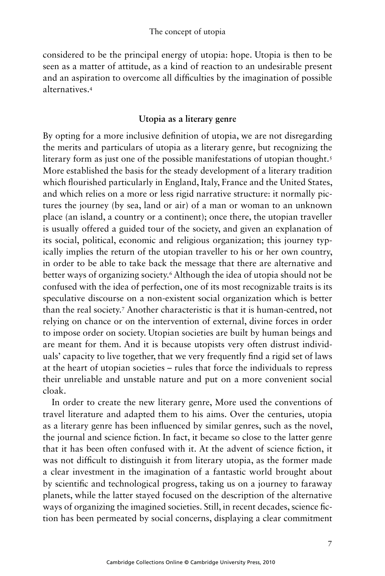considered to be the principal energy of utopia: hope. Utopia is then to be seen as a matter of attitude, as a kind of reaction to an undesirable present and an aspiration to overcome all difficulties by the imagination of possible alternatives. 4

## **Utopia as a literary genre**

By opting for a more inclusive definition of utopia, we are not disregarding the merits and particulars of utopia as a literary genre, but recognizing the literary form as just one of the possible manifestations of utopian thought.<sup>5</sup> More established the basis for the steady development of a literary tradition which flourished particularly in England, Italy, France and the United States, and which relies on a more or less rigid narrative structure: it normally pictures the journey (by sea, land or air) of a man or woman to an unknown place (an island, a country or a continent); once there, the utopian traveller is usually offered a guided tour of the society, and given an explanation of its social, political, economic and religious organization; this journey typically implies the return of the utopian traveller to his or her own country, in order to be able to take back the message that there are alternative and better ways of organizing society.<sup>6</sup> Although the idea of utopia should not be confused with the idea of perfection, one of its most recognizable traits is its speculative discourse on a non-existent social organization which is better than the real society.<sup>7</sup> Another characteristic is that it is human-centred, not relying on chance or on the intervention of external, divine forces in order to impose order on society. Utopian societies are built by human beings and are meant for them. And it is because utopists very often distrust individuals' capacity to live together, that we very frequently find a rigid set of laws at the heart of utopian societies – rules that force the individuals to repress their unreliable and unstable nature and put on a more convenient social cloak.

In order to create the new literary genre, More used the conventions of travel literature and adapted them to his aims. Over the centuries, utopia as a literary genre has been influenced by similar genres, such as the novel, the journal and science fiction. In fact, it became so close to the latter genre that it has been often confused with it. At the advent of science fiction, it was not difficult to distinguish it from literary utopia, as the former made a clear investment in the imagination of a fantastic world brought about by scientific and technological progress, taking us on a journey to faraway planets, while the latter stayed focused on the description of the alternative ways of organizing the imagined societies. Still, in recent decades, science fiction has been permeated by social concerns, displaying a clear commitment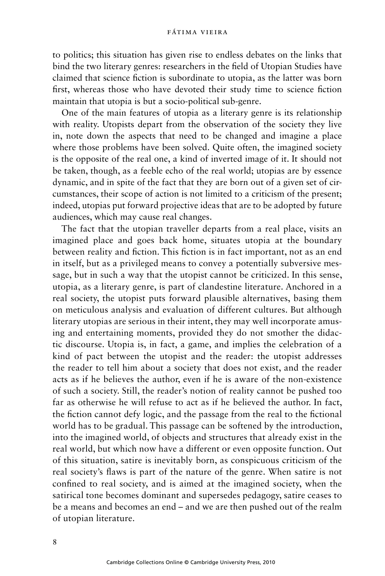to politics; this situation has given rise to endless debates on the links that bind the two literary genres: researchers in the field of Utopian Studies have claimed that science fiction is subordinate to utopia, as the latter was born first, whereas those who have devoted their study time to science fiction maintain that utopia is but a socio-political sub-genre.

One of the main features of utopia as a literary genre is its relationship with reality. Utopists depart from the observation of the society they live in, note down the aspects that need to be changed and imagine a place where those problems have been solved. Quite often, the imagined society is the opposite of the real one, a kind of inverted image of it. It should not be taken, though, as a feeble echo of the real world; utopias are by essence dynamic, and in spite of the fact that they are born out of a given set of circumstances, their scope of action is not limited to a criticism of the present; indeed, utopias put forward projective ideas that are to be adopted by future audiences, which may cause real changes.

The fact that the utopian traveller departs from a real place, visits an imagined place and goes back home, situates utopia at the boundary between reality and fiction. This fiction is in fact important, not as an end in itself, but as a privileged means to convey a potentially subversive message, but in such a way that the utopist cannot be criticized. In this sense, utopia, as a literary genre, is part of clandestine literature. Anchored in a real society, the utopist puts forward plausible alternatives, basing them on meticulous analysis and evaluation of different cultures. But although literary utopias are serious in their intent, they may well incorporate amusing and entertaining moments, provided they do not smother the didactic discourse. Utopia is, in fact, a game, and implies the celebration of a kind of pact between the utopist and the reader: the utopist addresses the reader to tell him about a society that does not exist, and the reader acts as if he believes the author, even if he is aware of the non-existence of such a society. Still, the reader's notion of reality cannot be pushed too far as otherwise he will refuse to act as if he believed the author. In fact, the fiction cannot defy logic, and the passage from the real to the fictional world has to be gradual. This passage can be softened by the introduction, into the imagined world, of objects and structures that already exist in the real world, but which now have a different or even opposite function. Out of this situation, satire is inevitably born, as conspicuous criticism of the real society's flaws is part of the nature of the genre. When satire is not confined to real society, and is aimed at the imagined society, when the satirical tone becomes dominant and supersedes pedagogy, satire ceases to be a means and becomes an end – and we are then pushed out of the realm of utopian literature.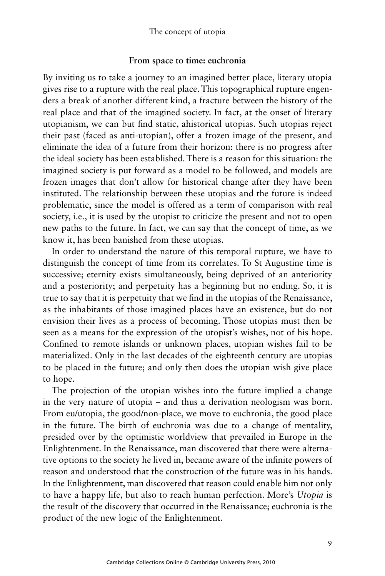# **From space to time: euchronia**

By inviting us to take a journey to an imagined better place, literary utopia gives rise to a rupture with the real place. This topographical rupture engenders a break of another different kind, a fracture between the history of the real place and that of the imagined society. In fact, at the onset of literary utopianism, we can but find static, ahistorical utopias. Such utopias reject their past (faced as anti-utopian), offer a frozen image of the present, and eliminate the idea of a future from their horizon: there is no progress after the ideal society has been established. There is a reason for this situation: the imagined society is put forward as a model to be followed, and models are frozen images that don't allow for historical change after they have been instituted. The relationship between these utopias and the future is indeed problematic, since the model is offered as a term of comparison with real society, i.e., it is used by the utopist to criticize the present and not to open new paths to the future. In fact, we can say that the concept of time, as we know it, has been banished from these utopias.

In order to understand the nature of this temporal rupture, we have to distinguish the concept of time from its correlates. To St Augustine time is successive; eternity exists simultaneously, being deprived of an anteriority and a posteriority; and perpetuity has a beginning but no ending. So, it is true to say that it is perpetuity that we find in the utopias of the Renaissance, as the inhabitants of those imagined places have an existence, but do not envision their lives as a process of becoming. Those utopias must then be seen as a means for the expression of the utopist's wishes, not of his hope. Confined to remote islands or unknown places, utopian wishes fail to be materialized. Only in the last decades of the eighteenth century are utopias to be placed in the future; and only then does the utopian wish give place to hope.

The projection of the utopian wishes into the future implied a change in the very nature of utopia – and thus a derivation neologism was born. From eu/utopia, the good/non-place, we move to euchronia, the good place in the future. The birth of euchronia was due to a change of mentality, presided over by the optimistic worldview that prevailed in Europe in the Enlightenment. In the Renaissance, man discovered that there were alternative options to the society he lived in, became aware of the infinite powers of reason and understood that the construction of the future was in his hands. In the Enlightenment, man discovered that reason could enable him not only to have a happy life, but also to reach human perfection. More's *Utopia* is the result of the discovery that occurred in the Renaissance; euchronia is the product of the new logic of the Enlightenment.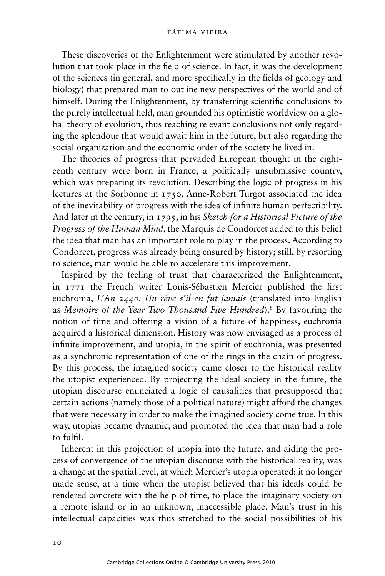These discoveries of the Enlightenment were stimulated by another revolution that took place in the field of science. In fact, it was the development of the sciences (in general, and more specifically in the fields of geology and biology) that prepared man to outline new perspectives of the world and of himself. During the Enlightenment, by transferring scientific conclusions to the purely intellectual field, man grounded his optimistic worldview on a global theory of evolution, thus reaching relevant conclusions not only regarding the splendour that would await him in the future, but also regarding the social organization and the economic order of the society he lived in.

The theories of progress that pervaded European thought in the eighteenth century were born in France, a politically unsubmissive country, which was preparing its revolution. Describing the logic of progress in his lectures at the Sorbonne in 1750, Anne-Robert Turgot associated the idea of the inevitability of progress with the idea of infinite human perfectibility. And later in the century, in 1795, in his *Sketch for a Historical Picture of the Progress of the Human Mind*, the Marquis de Condorcet added to this belief the idea that man has an important role to play in the process. According to Condorcet, progress was already being ensured by history; still, by resorting to science, man would be able to accelerate this improvement.

Inspired by the feeling of trust that characterized the Enlightenment, in 1771 the French writer Louis-Sébastien Mercier published the first euchronia, *L'An 2440: Un rêve s'il en fut jamais* (translated into English as *Memoirs of the Year Two Thousand Five Hundred*).<sup>8</sup> By favouring the notion of time and offering a vision of a future of happiness, euchronia acquired a historical dimension. History was now envisaged as a process of infinite improvement, and utopia, in the spirit of euchronia, was presented as a synchronic representation of one of the rings in the chain of progress. By this process, the imagined society came closer to the historical reality the utopist experienced. By projecting the ideal society in the future, the utopian discourse enunciated a logic of causalities that presupposed that certain actions (namely those of a political nature) might afford the changes that were necessary in order to make the imagined society come true. In this way, utopias became dynamic, and promoted the idea that man had a role to fulfil.

Inherent in this projection of utopia into the future, and aiding the process of convergence of the utopian discourse with the historical reality, was a change at the spatial level, at which Mercier's utopia operated: it no longer made sense, at a time when the utopist believed that his ideals could be rendered concrete with the help of time, to place the imaginary society on a remote island or in an unknown, inaccessible place. Man's trust in his intellectual capacities was thus stretched to the social possibilities of his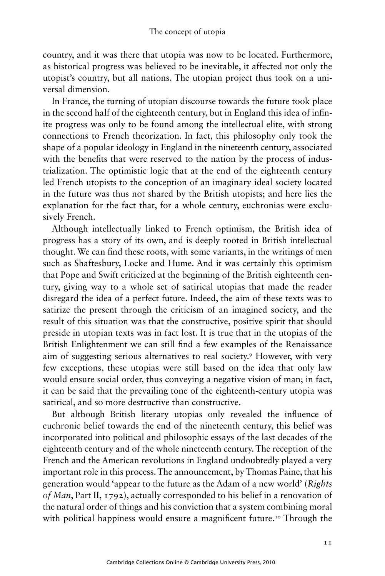country, and it was there that utopia was now to be located. Furthermore, as historical progress was believed to be inevitable, it affected not only the utopist's country, but all nations. The utopian project thus took on a universal dimension.

In France, the turning of utopian discourse towards the future took place in the second half of the eighteenth century, but in England this idea of infinite progress was only to be found among the intellectual elite, with strong connections to French theorization. In fact, this philosophy only took the shape of a popular ideology in England in the nineteenth century, associated with the benefits that were reserved to the nation by the process of industrialization. The optimistic logic that at the end of the eighteenth century led French utopists to the conception of an imaginary ideal society located in the future was thus not shared by the British utopists; and here lies the explanation for the fact that, for a whole century, euchronias were exclusively French.

Although intellectually linked to French optimism, the British idea of progress has a story of its own, and is deeply rooted in British intellectual thought. We can find these roots, with some variants, in the writings of men such as Shaftesbury, Locke and Hume. And it was certainly this optimism that Pope and Swift criticized at the beginning of the British eighteenth century, giving way to a whole set of satirical utopias that made the reader disregard the idea of a perfect future. Indeed, the aim of these texts was to satirize the present through the criticism of an imagined society, and the result of this situation was that the constructive, positive spirit that should preside in utopian texts was in fact lost. It is true that in the utopias of the British Enlightenment we can still find a few examples of the Renaissance aim of suggesting serious alternatives to real society.<sup>9</sup> However, with very few exceptions, these utopias were still based on the idea that only law would ensure social order, thus conveying a negative vision of man; in fact, it can be said that the prevailing tone of the eighteenth-century utopia was satirical, and so more destructive than constructive.

But although British literary utopias only revealed the influence of euchronic belief towards the end of the nineteenth century, this belief was incorporated into political and philosophic essays of the last decades of the eighteenth century and of the whole nineteenth century. The reception of the French and the American revolutions in England undoubtedly played a very important role in this process. The announcement, by Thomas Paine, that his generation would 'appear to the future as the Adam of a new world' ( *Rights of Man*, Part II, 1792), actually corresponded to his belief in a renovation of the natural order of things and his conviction that a system combining moral with political happiness would ensure a magnificent future.<sup>10</sup> Through the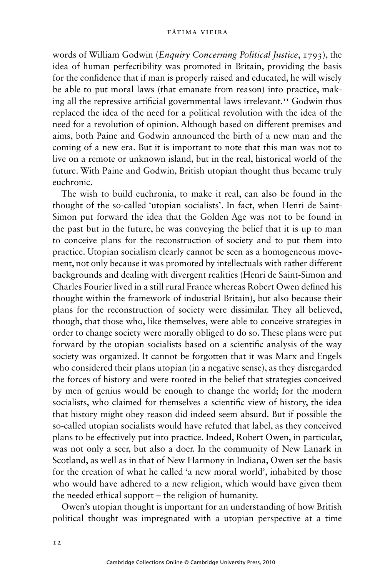words of William Godwin ( *Enquiry Concerning Political Justice*, 1793 ), the idea of human perfectibility was promoted in Britain, providing the basis for the confidence that if man is properly raised and educated, he will wisely be able to put moral laws (that emanate from reason) into practice, making all the repressive artificial governmental laws irrelevant.<sup> $11$ </sup> Godwin thus replaced the idea of the need for a political revolution with the idea of the need for a revolution of opinion. Although based on different premises and aims, both Paine and Godwin announced the birth of a new man and the coming of a new era. But it is important to note that this man was not to live on a remote or unknown island, but in the real, historical world of the future. With Paine and Godwin, British utopian thought thus became truly euchronic.

The wish to build euchronia, to make it real, can also be found in the thought of the so-called 'utopian socialists'. In fact, when Henri de Saint-Simon put forward the idea that the Golden Age was not to be found in the past but in the future, he was conveying the belief that it is up to man to conceive plans for the reconstruction of society and to put them into practice. Utopian socialism clearly cannot be seen as a homogeneous movement, not only because it was promoted by intellectuals with rather different backgrounds and dealing with divergent realities (Henri de Saint-Simon and Charles Fourier lived in a still rural France whereas Robert Owen defined his thought within the framework of industrial Britain), but also because their plans for the reconstruction of society were dissimilar. They all believed, though, that those who, like themselves, were able to conceive strategies in order to change society were morally obliged to do so. These plans were put forward by the utopian socialists based on a scientific analysis of the way society was organized. It cannot be forgotten that it was Marx and Engels who considered their plans utopian (in a negative sense), as they disregarded the forces of history and were rooted in the belief that strategies conceived by men of genius would be enough to change the world; for the modern socialists, who claimed for themselves a scientific view of history, the idea that history might obey reason did indeed seem absurd. But if possible the so-called utopian socialists would have refuted that label, as they conceived plans to be effectively put into practice. Indeed, Robert Owen, in particular, was not only a seer, but also a doer. In the community of New Lanark in Scotland, as well as in that of New Harmony in Indiana, Owen set the basis for the creation of what he called 'a new moral world', inhabited by those who would have adhered to a new religion, which would have given them the needed ethical support – the religion of humanity.

Owen's utopian thought is important for an understanding of how British political thought was impregnated with a utopian perspective at a time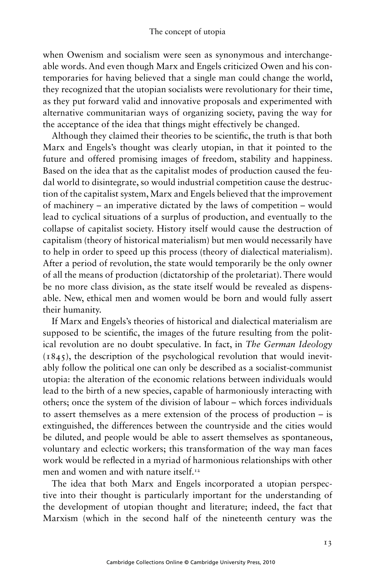when Owenism and socialism were seen as synonymous and interchangeable words. And even though Marx and Engels criticized Owen and his contemporaries for having believed that a single man could change the world, they recognized that the utopian socialists were revolutionary for their time, as they put forward valid and innovative proposals and experimented with alternative communitarian ways of organizing society, paving the way for the acceptance of the idea that things might effectively be changed.

Although they claimed their theories to be scientific, the truth is that both Marx and Engels's thought was clearly utopian, in that it pointed to the future and offered promising images of freedom, stability and happiness. Based on the idea that as the capitalist modes of production caused the feudal world to disintegrate, so would industrial competition cause the destruction of the capitalist system, Marx and Engels believed that the improvement of machinery – an imperative dictated by the laws of competition – would lead to cyclical situations of a surplus of production, and eventually to the collapse of capitalist society. History itself would cause the destruction of capitalism (theory of historical materialism) but men would necessarily have to help in order to speed up this process (theory of dialectical materialism). After a period of revolution, the state would temporarily be the only owner of all the means of production (dictatorship of the proletariat). There would be no more class division, as the state itself would be revealed as dispensable. New, ethical men and women would be born and would fully assert their humanity.

If Marx and Engels's theories of historical and dialectical materialism are supposed to be scientific, the images of the future resulting from the political revolution are no doubt speculative. In fact, in *The German Ideology*  $(1845)$ , the description of the psychological revolution that would inevitably follow the political one can only be described as a socialist-communist utopia: the alteration of the economic relations between individuals would lead to the birth of a new species, capable of harmoniously interacting with others; once the system of the division of labour – which forces individuals to assert themselves as a mere extension of the process of production – is extinguished, the differences between the countryside and the cities would be diluted, and people would be able to assert themselves as spontaneous, voluntary and eclectic workers; this transformation of the way man faces work would be reflected in a myriad of harmonious relationships with other men and women and with nature itself.<sup>12</sup>

The idea that both Marx and Engels incorporated a utopian perspective into their thought is particularly important for the understanding of the development of utopian thought and literature; indeed, the fact that Marxism (which in the second half of the nineteenth century was the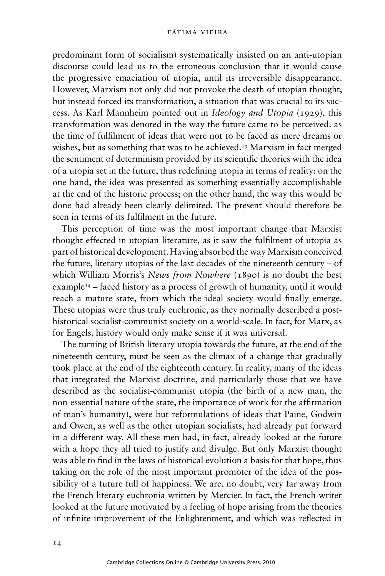predominant form of socialism) systematically insisted on an anti-utopian discourse could lead us to the erroneous conclusion that it would cause the progressive emaciation of utopia, until its irreversible disappearance. However, Marxism not only did not provoke the death of utopian thought, but instead forced its transformation, a situation that was crucial to its success. As Karl Mannheim pointed out in *Ideology and Utopia* (1929), this transformation was denoted in the way the future came to be perceived: as the time of fulfilment of ideas that were not to be faced as mere dreams or wishes, but as something that was to be achieved.<sup>13</sup> Marxism in fact merged the sentiment of determinism provided by its scientific theories with the idea of a utopia set in the future, thus redefining utopia in terms of reality: on the one hand, the idea was presented as something essentially accomplishable at the end of the historic process; on the other hand, the way this would be done had already been clearly delimited. The present should therefore be seen in terms of its fulfilment in the future.

This perception of time was the most important change that Marxist thought effected in utopian literature, as it saw the fulfilment of utopia as part of historical development. Having absorbed the way Marxism conceived the future, literary utopias of the last decades of the nineteenth century – of which William Morris's *News from Nowhere* (1890) is no doubt the best example<sup>14</sup> – faced history as a process of growth of humanity, until it would reach a mature state, from which the ideal society would finally emerge. These utopias were thus truly euchronic, as they normally described a posthistorical socialist-communist society on a world-scale. In fact, for Marx, as for Engels, history would only make sense if it was universal.

The turning of British literary utopia towards the future, at the end of the nineteenth century, must be seen as the climax of a change that gradually took place at the end of the eighteenth century. In reality, many of the ideas that integrated the Marxist doctrine, and particularly those that we have described as the socialist-communist utopia (the birth of a new man, the non-essential nature of the state, the importance of work for the affirmation of man's humanity), were but reformulations of ideas that Paine, Godwin and Owen, as well as the other utopian socialists, had already put forward in a different way. All these men had, in fact, already looked at the future with a hope they all tried to justify and divulge. But only Marxist thought was able to find in the laws of historical evolution a basis for that hope, thus taking on the role of the most important promoter of the idea of the possibility of a future full of happiness. We are, no doubt, very far away from the French literary euchronia written by Mercier. In fact, the French writer looked at the future motivated by a feeling of hope arising from the theories of infinite improvement of the Enlightenment, and which was reflected in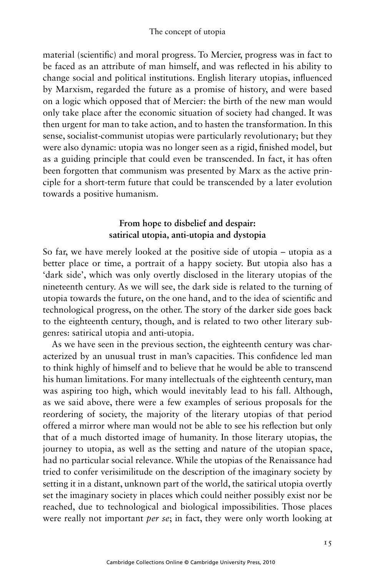material (scientific) and moral progress. To Mercier, progress was in fact to be faced as an attribute of man himself, and was reflected in his ability to change social and political institutions. English literary utopias, influenced by Marxism, regarded the future as a promise of history, and were based on a logic which opposed that of Mercier: the birth of the new man would only take place after the economic situation of society had changed. It was then urgent for man to take action, and to hasten the transformation. In this sense, socialist-communist utopias were particularly revolutionary; but they were also dynamic: utopia was no longer seen as a rigid, finished model, but as a guiding principle that could even be transcended. In fact, it has often been forgotten that communism was presented by Marx as the active principle for a short-term future that could be transcended by a later evolution towards a positive humanism.

# **From hope to disbelief and despair: satirical utopia, anti-utopia and dystopia**

So far, we have merely looked at the positive side of utopia – utopia as a better place or time, a portrait of a happy society. But utopia also has a 'dark side', which was only overtly disclosed in the literary utopias of the nineteenth century. As we will see, the dark side is related to the turning of utopia towards the future, on the one hand, and to the idea of scientific and technological progress, on the other. The story of the darker side goes back to the eighteenth century, though, and is related to two other literary subgenres: satirical utopia and anti-utopia.

As we have seen in the previous section, the eighteenth century was characterized by an unusual trust in man's capacities. This confidence led man to think highly of himself and to believe that he would be able to transcend his human limitations. For many intellectuals of the eighteenth century, man was aspiring too high, which would inevitably lead to his fall. Although, as we said above, there were a few examples of serious proposals for the re ordering of society, the majority of the literary utopias of that period offered a mirror where man would not be able to see his reflection but only that of a much distorted image of humanity. In those literary utopias, the journey to utopia, as well as the setting and nature of the utopian space, had no particular social relevance. While the utopias of the Renaissance had tried to confer verisimilitude on the description of the imaginary society by setting it in a distant, unknown part of the world, the satirical utopia overtly set the imaginary society in places which could neither possibly exist nor be reached, due to technological and biological impossibilities. Those places were really not important *per se*; in fact, they were only worth looking at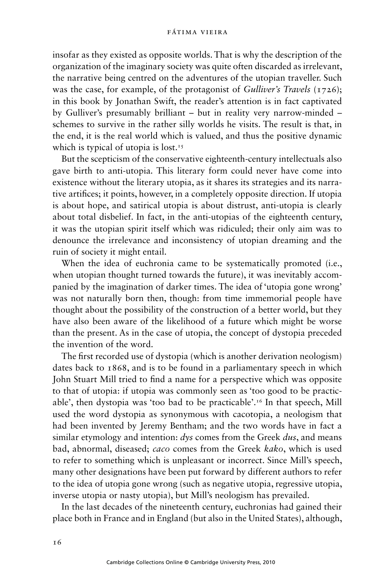#### Fátima Vieira

insofar as they existed as opposite worlds. That is why the description of the organization of the imaginary society was quite often discarded as irrelevant, the narrative being centred on the adventures of the utopian traveller. Such was the case, for example, of the protagonist of *Gulliver's Travels* (1726); in this book by Jonathan Swift, the reader's attention is in fact captivated by Gulliver's presumably brilliant – but in reality very narrow-minded – schemes to survive in the rather silly worlds he visits. The result is that, in the end, it is the real world which is valued, and thus the positive dynamic which is typical of utopia is lost.<sup>15</sup>

But the scepticism of the conservative eighteenth-century intellectuals also gave birth to anti-utopia *.* This literary form could never have come into existence without the literary utopia, as it shares its strategies and its narrative artifices; it points, however, in a completely opposite direction. If utopia is about hope, and satirical utopia is about distrust, anti-utopia is clearly about total disbelief. In fact, in the anti-utopias of the eighteenth century, it was the utopian spirit itself which was ridiculed; their only aim was to denounce the irrelevance and inconsistency of utopian dreaming and the ruin of society it might entail.

When the idea of euchronia came to be systematically promoted (i.e., when utopian thought turned towards the future), it was inevitably accompanied by the imagination of darker times. The idea of 'utopia gone wrong' was not naturally born then, though: from time immemorial people have thought about the possibility of the construction of a better world, but they have also been aware of the likelihood of a future which might be worse than the present. As in the case of utopia, the concept of dystopia preceded the invention of the word.

The first recorded use of dystopia (which is another derivation neologism) dates back to 1868, and is to be found in a parliamentary speech in which John Stuart Mill tried to find a name for a perspective which was opposite to that of utopia: if utopia was commonly seen as 'too good to be practicable', then dystopia was 'too bad to be practicable'. 16 In that speech, Mill used the word dystopia as synonymous with cacotopia, a neologism that had been invented by Jeremy Bentham; and the two words have in fact a similar etymology and intention: *dys* comes from the Greek *dus*, and means bad, abnormal, diseased; *caco* comes from the Greek *kako*, which is used to refer to something which is unpleasant or incorrect. Since Mill's speech, many other designations have been put forward by different authors to refer to the idea of utopia gone wrong (such as negative utopia, regressive utopia, inverse utopia or nasty utopia), but Mill's neologism has prevailed.

In the last decades of the nineteenth century, euchronias had gained their place both in France and in England (but also in the United States), although,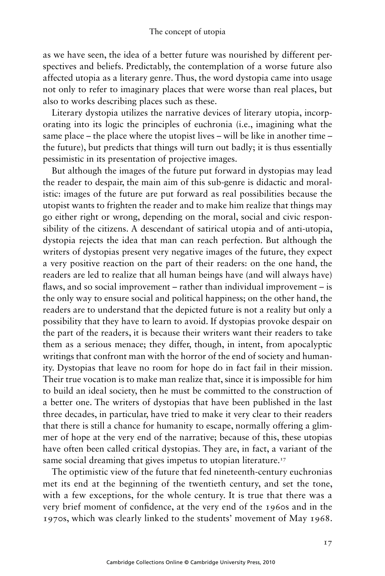as we have seen, the idea of a better future was nourished by different perspectives and beliefs. Predictably, the contemplation of a worse future also affected utopia as a literary genre. Thus, the word dystopia came into usage not only to refer to imaginary places that were worse than real places, but also to works describing places such as these.

Literary dystopia utilizes the narrative devices of literary utopia, incorporating into its logic the principles of euchronia (i.e., imagining what the same place – the place where the utopist lives – will be like in another time – the future), but predicts that things will turn out badly; it is thus essentially pessimistic in its presentation of projective images.

But although the images of the future put forward in dystopias may lead the reader to despair, the main aim of this sub-genre is didactic and moralistic: images of the future are put forward as real possibilities because the utopist wants to frighten the reader and to make him realize that things may go either right or wrong, depending on the moral, social and civic responsibility of the citizens. A descendant of satirical utopia and of anti-utopia, dystopia rejects the idea that man can reach perfection. But although the writers of dystopias present very negative images of the future, they expect a very positive reaction on the part of their readers: on the one hand, the readers are led to realize that all human beings have (and will always have) flaws, and so social improvement – rather than individual improvement – is the only way to ensure social and political happiness; on the other hand, the readers are to understand that the depicted future is not a reality but only a possibility that they have to learn to avoid. If dystopias provoke despair on the part of the readers, it is because their writers want their readers to take them as a serious menace; they differ, though, in intent, from apocalyptic writings that confront man with the horror of the end of society and humanity. Dystopias that leave no room for hope do in fact fail in their mission. Their true vocation is to make man realize that, since it is impossible for him to build an ideal society, then he must be committed to the construction of a better one. The writers of dystopias that have been published in the last three decades, in particular, have tried to make it very clear to their readers that there is still a chance for humanity to escape, normally offering a glimmer of hope at the very end of the narrative; because of this, these utopias have often been called critical dystopias. They are, in fact, a variant of the same social dreaming that gives impetus to utopian literature.<sup>17</sup>

The optimistic view of the future that fed nineteenth-century euchronias met its end at the beginning of the twentieth century, and set the tone, with a few exceptions, for the whole century. It is true that there was a very brief moment of confidence, at the very end of the 1960s and in the 1970s, which was clearly linked to the students' movement of May 1968.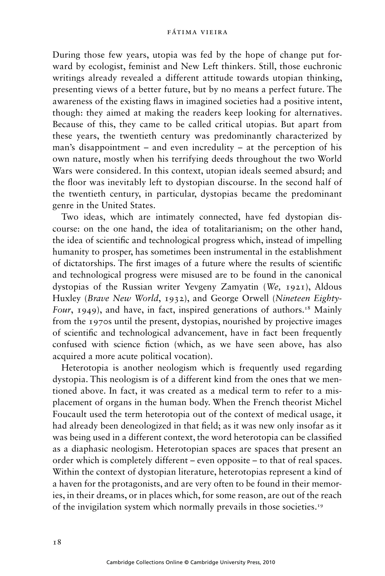During those few years, utopia was fed by the hope of change put forward by ecologist, feminist and New Left thinkers. Still, those euchronic writings already revealed a different attitude towards utopian thinking, presenting views of a better future, but by no means a perfect future. The awareness of the existing flaws in imagined societies had a positive intent, though: they aimed at making the readers keep looking for alternatives. Because of this, they came to be called critical utopias. But apart from these years, the twentieth century was predominantly characterized by man's disappointment – and even incredulity – at the perception of his own nature, mostly when his terrifying deeds throughout the two World Wars were considered. In this context, utopian ideals seemed absurd; and the floor was inevitably left to dystopian discourse. In the second half of the twentieth century, in particular, dystopias became the predominant genre in the United States.

Two ideas, which are intimately connected, have fed dystopian discourse: on the one hand, the idea of totalitarianism; on the other hand, the idea of scientific and technological progress which, instead of impelling humanity to prosper, has sometimes been instrumental in the establishment of dictatorships. The first images of a future where the results of scientific and technological progress were misused are to be found in the canonical dystopias of the Russian writer Yevgeny Zamyatin ( *We,* 1921), Aldous Huxley ( *Brave New World*, 1932 ), and George Orwell ( *Nineteen Eighty-Four*, 1949), and have, in fact, inspired generations of authors.<sup>18</sup> Mainly from the 1970s until the present, dystopias, nourished by projective images of scientific and technological advancement, have in fact been frequently confused with science fiction (which, as we have seen above, has also acquired a more acute political vocation).

Heterotopia is another neologism which is frequently used regarding dystopia. This neologism is of a different kind from the ones that we mentioned above. In fact, it was created as a medical term to refer to a misplacement of organs in the human body. When the French theorist Michel Foucault used the term heterotopia out of the context of medical usage, it had already been deneologized in that field; as it was new only insofar as it was being used in a different context, the word heterotopia can be classified as a diaphasic neologism. Heterotopian spaces are spaces that present an order which is completely different – even opposite – to that of real spaces. Within the context of dystopian literature, heterotopias represent a kind of a haven for the protagonists, and are very often to be found in their memories, in their dreams, or in places which, for some reason, are out of the reach of the invigilation system which normally prevails in those societies. 19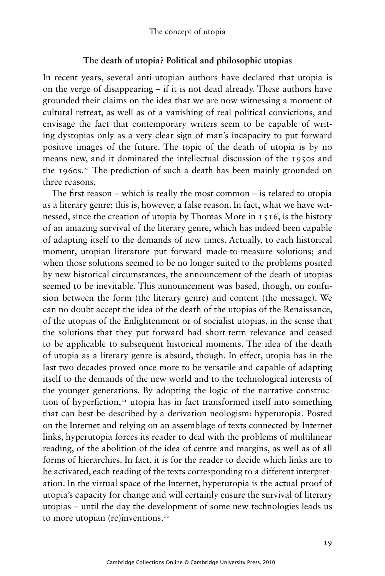# **The death of utopia? Political and philosophic utopias**

In recent years, several anti-utopian authors have declared that utopia is on the verge of disappearing – if it is not dead already. These authors have grounded their claims on the idea that we are now witnessing a moment of cultural retreat, as well as of a vanishing of real political convictions, and envisage the fact that contemporary writers seem to be capable of writing dystopias only as a very clear sign of man's incapacity to put forward positive images of the future. The topic of the death of utopia is by no means new, and it dominated the intellectual discussion of the 1950s and the 1960s. 20 The prediction of such a death has been mainly grounded on three reasons.

The first reason – which is really the most common – is related to utopia as a literary genre; this is, however, a false reason. In fact, what we have witnessed, since the creation of utopia by Thomas More in 1516, is the history of an amazing survival of the literary genre, which has indeed been capable of adapting itself to the demands of new times. Actually, to each historical moment, utopian literature put forward made-to-measure solutions; and when those solutions seemed to be no longer suited to the problems posited by new historical circumstances, the announcement of the death of utopias seemed to be inevitable. This announcement was based, though, on confusion between the form (the literary genre) and content (the message). We can no doubt accept the idea of the death of the utopias of the Renaissance, of the utopias of the Enlightenment or of socialist utopias, in the sense that the solutions that they put forward had short-term relevance and ceased to be applicable to subsequent historical moments. The idea of the death of utopia as a literary genre is absurd, though. In effect, utopia has in the last two decades proved once more to be versatile and capable of adapting itself to the demands of the new world and to the technological interests of the younger generations. By adopting the logic of the narrative construction of hyperfiction, $21$  utopia has in fact transformed itself into something that can best be described by a derivation neologism: hyperutopia *.* Posted on the Internet and relying on an assemblage of texts connected by Internet links, hyperutopia forces its reader to deal with the problems of multilinear reading, of the abolition of the idea of centre and margins, as well as of all forms of hierarchies. In fact, it is for the reader to decide which links are to be activated, each reading of the texts corresponding to a different interpretation. In the virtual space of the Internet, hyperutopia is the actual proof of utopia's capacity for change and will certainly ensure the survival of literary utopias – until the day the development of some new technologies leads us to more utopian (re)inventions.<sup>22</sup>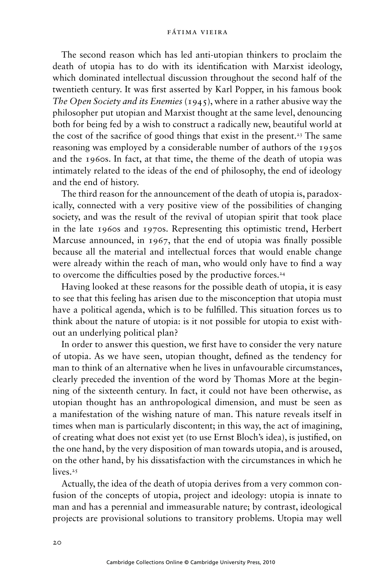The second reason which has led anti-utopian thinkers to proclaim the death of utopia has to do with its identification with Marxist ideology, which dominated intellectual discussion throughout the second half of the twentieth century. It was first asserted by Karl Popper, in his famous book *The Open Society and its Enemies* (1945), where in a rather abusive way the philosopher put utopian and Marxist thought at the same level, denouncing both for being fed by a wish to construct a radically new, beautiful world at the cost of the sacrifice of good things that exist in the present.<sup>23</sup> The same reasoning was employed by a considerable number of authors of the 1950s and the 1960s. In fact, at that time, the theme of the death of utopia was intimately related to the ideas of the end of philosophy, the end of ideology and the end of history.

The third reason for the announcement of the death of utopia is, paradoxically, connected with a very positive view of the possibilities of changing society, and was the result of the revival of utopian spirit that took place in the late 1960s and 1970s. Representing this optimistic trend, Herbert Marcuse announced, in  $1967$ , that the end of utopia was finally possible because all the material and intellectual forces that would enable change were already within the reach of man, who would only have to find a way to overcome the difficulties posed by the productive forces.<sup>24</sup>

Having looked at these reasons for the possible death of utopia, it is easy to see that this feeling has arisen due to the misconception that utopia must have a political agenda, which is to be fulfilled. This situation forces us to think about the nature of utopia: is it not possible for utopia to exist without an underlying political plan?

In order to answer this question, we first have to consider the very nature of utopia. As we have seen, utopian thought, defined as the tendency for man to think of an alternative when he lives in unfavourable circumstances, clearly preceded the invention of the word by Thomas More at the beginning of the sixteenth century. In fact, it could not have been otherwise, as utopian thought has an anthropological dimension, and must be seen as a manifestation of the wishing nature of man. This nature reveals itself in times when man is particularly discontent; in this way, the act of imagining, of creating what does not exist yet (to use Ernst Bloch's idea), is justified, on the one hand, by the very disposition of man towards utopia, and is aroused, on the other hand, by his dissatisfaction with the circumstances in which he lives.<sup>25</sup>

Actually, the idea of the death of utopia derives from a very common confusion of the concepts of utopia, project and ideology: utopia is innate to man and has a perennial and immeasurable nature; by contrast, ideological projects are provisional solutions to transitory problems. Utopia may well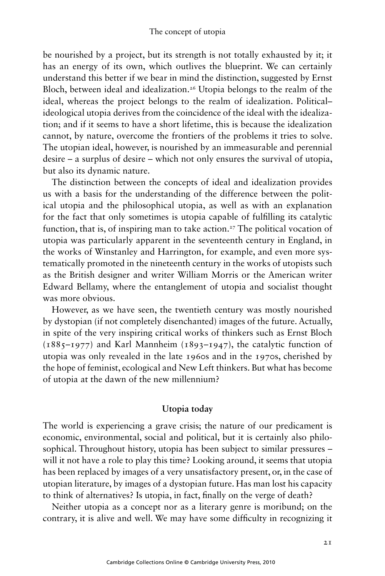be nourished by a project, but its strength is not totally exhausted by it; it has an energy of its own, which outlives the blueprint. We can certainly understand this better if we bear in mind the distinction, suggested by Ernst Bloch, between ideal and idealization.<sup>26</sup> Utopia belongs to the realm of the ideal, whereas the project belongs to the realm of idealization. Political– ideological utopia derives from the coincidence of the ideal with the idealization; and if it seems to have a short lifetime, this is because the idealization cannot, by nature, overcome the frontiers of the problems it tries to solve. The utopian ideal, however, is nourished by an immeasurable and perennial desire – a surplus of desire – which not only ensures the survival of utopia, but also its dynamic nature.

The distinction between the concepts of ideal and idealization provides us with a basis for the understanding of the difference between the political utopia and the philosophical utopia, as well as with an explanation for the fact that only sometimes is utopia capable of fulfilling its catalytic function, that is, of inspiring man to take action.<sup>27</sup> The political vocation of utopia was particularly apparent in the seventeenth century in England, in the works of Winstanley and Harrington, for example, and even more systematically promoted in the nineteenth century in the works of utopists such as the British designer and writer William Morris or the American writer Edward Bellamy, where the entanglement of utopia and socialist thought was more obvious.

However, as we have seen, the twentieth century was mostly nourished by dystopian (if not completely disenchanted) images of the future. Actually, in spite of the very inspiring critical works of thinkers such as Ernst Bloch  $(1885-1977)$  and Karl Mannheim  $(1893-1947)$ , the catalytic function of utopia was only revealed in the late 1960s and in the 1970s, cherished by the hope of feminist, ecological and New Left thinkers. But what has become of utopia at the dawn of the new millennium?

## **Utopia today**

The world is experiencing a grave crisis; the nature of our predicament is economic, environmental, social and political, but it is certainly also philosophical. Throughout history, utopia has been subject to similar pressures – will it not have a role to play this time? Looking around, it seems that utopia has been replaced by images of a very unsatisfactory present, or, in the case of utopian literature, by images of a dystopian future. Has man lost his capacity to think of alternatives? Is utopia, in fact, finally on the verge of death?

Neither utopia as a concept nor as a literary genre is moribund; on the contrary, it is alive and well. We may have some difficulty in recognizing it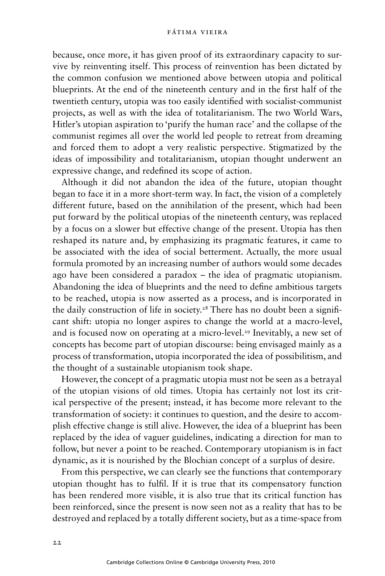because, once more, it has given proof of its extraordinary capacity to survive by reinventing itself. This process of reinvention has been dictated by the common confusion we mentioned above between utopia and political blueprints. At the end of the nineteenth century and in the first half of the twentieth century, utopia was too easily identified with socialist-communist projects, as well as with the idea of totalitarianism. The two World Wars, Hitler's utopian aspiration to 'purify the human race' and the collapse of the communist regimes all over the world led people to retreat from dreaming and forced them to adopt a very realistic perspective. Stigmatized by the ideas of impossibility and totalitarianism, utopian thought underwent an expressive change, and redefined its scope of action.

Although it did not abandon the idea of the future, utopian thought began to face it in a more short-term way. In fact, the vision of a completely different future, based on the annihilation of the present, which had been put forward by the political utopias of the nineteenth century, was replaced by a focus on a slower but effective change of the present. Utopia has then reshaped its nature and, by emphasizing its pragmatic features, it came to be associated with the idea of social betterment. Actually, the more usual formula promoted by an increasing number of authors would some decades ago have been considered a paradox – the idea of pragmatic utopianism. Abandoning the idea of blueprints and the need to define ambitious targets to be reached, utopia is now asserted as a process, and is incorporated in the daily construction of life in society.<sup>28</sup> There has no doubt been a significant shift: utopia no longer aspires to change the world at a macro-level, and is focused now on operating at a micro-level.<sup>29</sup> Inevitably, a new set of concepts has become part of utopian discourse: being envisaged mainly as a process of transformation, utopia incorporated the idea of possibilitism, and the thought of a sustainable utopianism took shape.

However, the concept of a pragmatic utopia must not be seen as a betrayal of the utopian visions of old times. Utopia has certainly not lost its critical perspective of the present; instead, it has become more relevant to the transformation of society: it continues to question, and the desire to accomplish effective change is still alive. However, the idea of a blueprint has been replaced by the idea of vaguer guidelines, indicating a direction for man to follow, but never a point to be reached. Contemporary utopianism is in fact dynamic, as it is nourished by the Blochian concept of a surplus of desire.

From this perspective, we can clearly see the functions that contemporary utopian thought has to fulfil. If it is true that its compensatory function has been rendered more visible, it is also true that its critical function has been reinforced, since the present is now seen not as a reality that has to be destroyed and replaced by a totally different society, but as a time-space from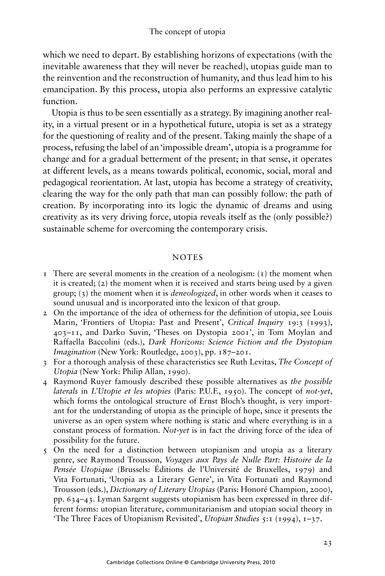which we need to depart. By establishing horizons of expectations (with the inevitable awareness that they will never be reached), utopias guide man to the reinvention and the reconstruction of humanity, and thus lead him to his emancipation. By this process, utopia also performs an expressive catalytic function.

Utopia is thus to be seen essentially as a strategy. By imagining another reality, in a virtual present or in a hypothetical future, utopia is set as a strategy for the questioning of reality and of the present. Taking mainly the shape of a process, refusing the label of an 'impossible dream', utopia is a programme for change and for a gradual betterment of the present; in that sense, it operates at different levels, as a means towards political, economic, social, moral and pedagogical reorientation. At last, utopia has become a strategy of creativity, clearing the way for the only path that man can possibly follow: the path of creation. By incorporating into its logic the dynamic of dreams and using creativity as its very driving force, utopia reveals itself as the (only possible?) sustainable scheme for overcoming the contemporary crisis.

## **NOTES**

- $I$  There are several moments in the creation of a neologism:  $(I)$  the moment when it is created; (2) the moment when it is received and starts being used by a given group; (3) the moment when it is *deneologized*, in other words when it ceases to sound unusual and is incorporated into the lexicon of that group.
- 2 On the importance of the idea of otherness for the definition of utopia, see Louis Marin, 'Frontiers of Utopia: Past and Present', *Critical Inquiry* 19:3 (1993), 403–11, and Darko Suvin, 'Theses on Dystopia 2001', in Tom Moylan and Raffaella Baccolini (eds.), *Dark Horizons: Science Fiction and the Dystopian Imagination* (New York: Routledge, 2003), pp. 187-201.
- 3 For a thorough analysis of these characteristics see Ruth Levitas, *The Concept of Utopia* (New York: Philip Allan, 1990).
- 4 Raymond Ruyer famously described these possible alternatives as *the possible laterals* in *L'Utopie et les utopies* (Paris: P.U.F., 1950 ). The concept of *not-yet*, which forms the ontological structure of Ernst Bloch's thought, is very important for the understanding of utopia as the principle of hope, since it presents the universe as an open system where nothing is static and where everything is in a constant process of formation. *Not-yet* is in fact the driving force of the idea of possibility for the future.
- 5 On the need for a distinction between utopianism and utopia as a literary genre, see Raymond Trousson, *Voyages aux Pays de Nulle Part: Histoire de la*  Pensée Utopique (Brussels: Éditions de l'Université de Bruxelles, 1979) and Vita Fortunati, 'Utopia as a Literary Genre', in Vita Fortunati and Raymond Trousson (eds.), *Dictionary of Literary Utopias* (Paris: Honoré Champion, 2000 ), pp. 634–43. Lyman Sargent suggests utopianism has been expressed in three different forms: utopian literature, communitarianism and utopian social theory in 'The Three Faces of Utopianism Revisited', *Utopian Studies* 5:1 (1994), 1-37.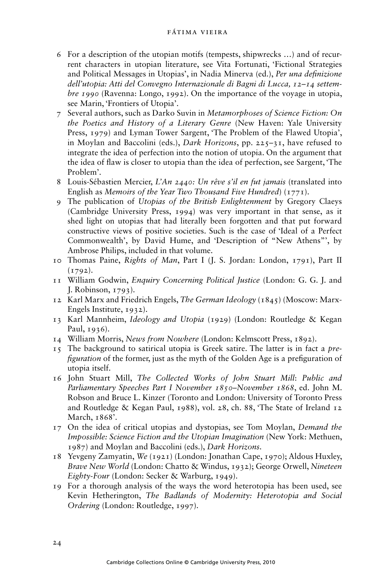- 6 For a description of the utopian motifs (tempests, shipwrecks …) and of recurrent characters in utopian literature, see Vita Fortunati, 'Fictional Strategies and Political Messages in Utopias', in Nadia Minerva (ed.), *Per una definizione dell'utopia: Atti del Convegno Internazionale di Bagni di Lucca, 12–14 settembre 1990* (Ravenna: Longo, 1992 ). On the importance of the voyage in utopia, see Marin, 'Frontiers of Utopia'.
- 7 Several authors, such as Darko Suvin in *Metamorphoses of Science Fiction: On the Poetics and History of a Literary Genre* (New Haven: Yale University Press, 1979) and Lyman Tower Sargent, 'The Problem of the Flawed Utopia', in Moylan and Baccolini (eds.), *Dark Horizons*, pp. 225–31, have refused to integrate the idea of perfection into the notion of utopia. On the argument that the idea of flaw is closer to utopia than the idea of perfection, see Sargent, 'The Problem'.
- 8 Louis-Sébastien Mercier, *L'An 2440: Un rêve s'il en fut jamais* (translated into English as *Memoirs of the Year Two Thousand Five Hundred*) (1771).
- 9 The publication of *Utopias of the British Enlightenment* by Gregory Claeys (Cambridge University Press, 1994) was very important in that sense, as it shed light on utopias that had literally been forgotten and that put forward constructive views of positive societies. Such is the case of 'Ideal of a Perfect Commonwealth', by David Hume, and 'Description of "New Athens"', by Ambrose Philips, included in that volume.
- 10 Thomas Paine, *Rights of Man*, Part I (J. S. Jordan: London, 1791 ), Part II  $(1792)$ .
- 11 William Godwin, *Enquiry Concerning Political Justice* (London: G. G. J. and J. Robinson, 1793 ).
- 12 Karl Marx and Friedrich Engels, *The German Ideology* (1845) (Moscow: Marx-Engels Institute, 1932).
- 13 Karl Mannheim, *Ideology and Utopia* (1929) (London: Routledge & Kegan Paul, 1936).
- 14 William Morris, *News from Nowhere* (London: Kelmscott Press, 1892 ).
- 15 The background to satirical utopia is Greek satire. The latter is in fact a *prefiguration* of the former, just as the myth of the Golden Age is a prefiguration of utopia itself.
- 16 John Stuart Mill, *The Collected Works of John Stuart Mill*: *Public and Parliamentary Speeches Part I November 1850–November 1868*, ed. John M. Robson and Bruce L. Kinzer (Toronto and London: University of Toronto Press and Routledge & Kegan Paul, 1988), vol. 28, ch. 88, 'The State of Ireland 12 March, 1868'.
- 17 On the idea of critical utopias and dystopias, see Tom Moylan, *Demand the Impossible: Science Fiction and the Utopian Imagination* (New York: Methuen, 1987 ) and Moylan and Baccolini (eds.), *Dark Horizons.*
- 18 Yevgeny Zamyatin, *We* (1921) (London: Jonathan Cape, 1970 ); Aldous Huxley, *Brave New World* (London: Chatto & Windus, 1932 ); George Orwell, *Nineteen Eighty-Four* (London: Secker & Warburg, 1949 ).
- 19 For a thorough analysis of the ways the word heterotopia has been used, see Kevin Hetherington, *The Badlands of Modernity: Heterotopia and Social Ordering* (London: Routledge, 1997).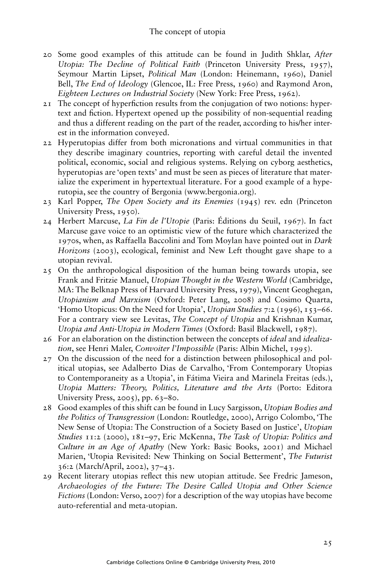- 20 Some good examples of this attitude can be found in Judith Shklar, *After Utopia: The Decline of Political Faith* (Princeton University Press, 1957), Seymour Martin Lipset, *Political Man* (London: Heinemann, 1960), Daniel Bell, *The End of Ideology* (Glencoe, IL: Free Press, 1960 ) and Raymond Aron, *Eighteen Lectures on Industrial Society* (New York: Free Press, 1962 ).
- $2I$  The concept of hyperfiction results from the conjugation of two notions: hypertext and fiction. Hypertext opened up the possibility of non-sequential reading and thus a different reading on the part of the reader, according to his/her interest in the information conveyed.
- 22 Hyperutopias differ from both micronations and virtual communities in that they describe imaginary countries, reporting with careful detail the invented political, economic, social and religious systems. Relying on cyborg aesthetics, hyperutopias are 'open texts' and must be seen as pieces of literature that materialize the experiment in hypertextual literature. For a good example of a hyperutopia, see the country of Bergonia (www.bergonia.org).
- 23 Karl Popper, *The Open Society and its Enemies* (1945) rev. edn (Princeton University Press, 1950).
- 24 Herbert Marcuse, *La Fin de l'Utopie* (Paris: Éditions du Seuil, 1967 ). In fact Marcuse gave voice to an optimistic view of the future which characterized the 1970s, when, as Raffaella Baccolini and Tom Moylan have pointed out in *Dark Horizons* (2003), ecological, feminist and New Left thought gave shape to a utopian revival.
- 25 On the anthropological disposition of the human being towards utopia, see Frank and Fritzie Manuel, *Utopian Thought in the Western World* (Cambridge, MA: The Belknap Press of Harvard University Press, 1979 ), Vincent Geoghegan, *Utopianism and Marxism* (Oxford: Peter Lang, 2008 ) and Cosimo Quarta, 'Homo Utopicus: On the Need for Utopia', *Utopian Studies* 7:2 (1996), 153-66. For a contrary view see Levitas, *The Concept of Utopia* and Krishnan Kumar, *Utopia and Anti-Utopia in Modern Times* (Oxford: Basil Blackwell, 1987 ).
- 26 For an elaboration on the distinction between the concepts of *ideal* and *idealization*, see Henri Maler, *Convoiter l'Impossible* (Paris: Albin Michel, 1995).
- 27 On the discussion of the need for a distinction between philosophical and political utopias, see Adalberto Dias de Carvalho, 'From Contemporary Utopias to Contemporaneity as a Utopia', in Fátima Vieira and Marinela Freitas (eds.), *Utopia Matters: Theory, Politics, Literature and the Arts* (Porto: Editora University Press,  $2005$ ), pp. 63–80.
- 28 Good examples of this shift can be found in Lucy Sargisson, *Utopian Bodies and the Politics of Transgression* (London: Routledge, 2000 ), Arrigo Colombo, 'The New Sense of Utopia: The Construction of a Society Based on Justice', *Utopian Studies* 11:2 ( 2000 ), 181–97, Eric McKenna, *The Task of Utopia: Politics and Culture in an Age of Apathy* (New York: Basic Books, 2001 ) and Michael Marien, 'Utopia Revisited: New Thinking on Social Betterment', *The Futurist* 36:2 (March/April, 2002 ), 37–43.
- 29 Recent literary utopias reflect this new utopian attitude. See Fredric Jameson, *Archaeologies of the Future: The Desire Called Utopia and Other Science Fictions* (London: Verso, 2007 ) for a description of the way utopias have become auto-referential and meta-utopian.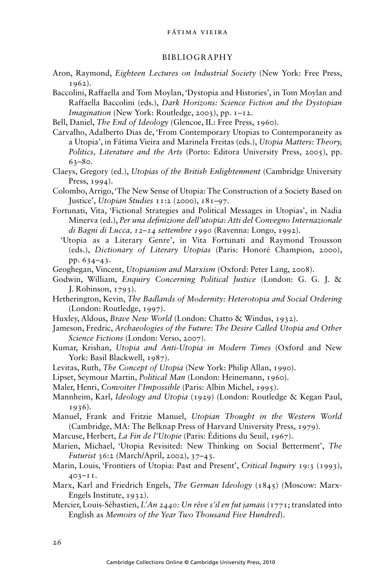#### Fátima Vieira

### BIBLIOGRAPHY

- Aron, Raymond, *Eighteen Lectures on Industrial Society* (New York: Free Press, 1962).
- Baccolini, Raffaella and Tom Moylan, 'Dystopia and Histories', in Tom Moylan and Raffaella Baccolini (eds.), *Dark Horizons: Science Fiction and the Dystopian Imagination* (New York: Routledge, 2003), pp. 1-12.
- Bell, Daniel, *The End of Ideology* (Glencoe, IL: Free Press, 1960).
- Carvalho, Adalberto Dias de, 'From Contemporary Utopias to Contemporaneity as a Utopia', in Fátima Vieira and Marinela Freitas (eds.), *Utopia Matters: Theory*, *Politics, Literature and the Arts* (Porto: Editora University Press, 2005), pp.  $63 - 80.$
- Claeys, Gregory (ed.), *Utopias of the British Enlightenment* (Cambridge University Press,  $1994$ ).
- Colombo , Arrigo , 'The New Sense of Utopia: The Construction of a Society Based on Justice', *Utopian Studies* 11:2 (2000), 181-97.
- Fortunati, Vita, 'Fictional Strategies and Political Messages in Utopias', in Nadia Minerva (ed.), *Per una definizione dell'utopia: Atti del Convegno Internazionale* di Bagni di Lucca, 12–14 settembre 1990 (Ravenna: Longo, 1992).
	- 'Utopia as a Literary Genre', in Vita Fortunatiand Raymond Trousson (eds.), *Dictionary of Literary Utopias* (Paris: Honoré Champion, 2000), pp. 634–43.
- Geoghegan, Vincent, *Utopianism and Marxism* (Oxford: Peter Lang, 2008).
- Godwin, William, *Enquiry Concerning Political Justice* (London: G. G. J. & J. Robinson,  $1793$ ).
- Hetherington , Kevin , *The Badlands of Modernity: Heterotopia and Social Ordering* (London: Routledge, 1997).
- Huxley, Aldous, *Brave New World* (London: Chatto & Windus, 1932).
- Jameson, Fredric, *Archaeologies of the Future: The Desire Called Utopia and Other Science Fictions* (London: Verso, 2007).
- Kumar, Krishan, Utopia and Anti-Utopia in Modern Times (Oxford and New York: Basil Blackwell, 1987).
- Levitas, Ruth, *The Concept of Utopia* (New York: Philip Allan, 1990).
- Lipset, Seymour Martin, *Political Man* (London: Heinemann, 1960).
- Maler, Henri, *Convoiter l'Impossible* (Paris: Albin Michel, 1995).
- Mannheim, Karl, *Ideology and Utopia* (1929) (London: Routledge & Kegan Paul, 1936).
- Manuel, Frank and Fritzie Manuel, *Utopian Thought in the Western World* (Cambridge, MA: The Belknap Press of Harvard University Press, 1979).
- Marcuse, Herbert, *La Fin de l'Utopie* (Paris: Éditions du Seuil, 1967).
- Marien, Michael, 'Utopia Revisited: New Thinking on Social Betterment', The *Futurist* 36:2 (March/April, 2002), 37-43.
- Marin, Louis, 'Frontiers of Utopia: Past and Present', *Critical Inquiry* 19:3 (1993),  $403 - 11$ .
- Marx, Karl and Friedrich Engels, *The German Ideology* (1845) (Moscow: Marx-Engels Institute,  $1932$ ).
- Mercier , Louis-Sébastien , *L'An 2440: Un rêve s'il en fut jamais* (1771; translated into English as *Memoirs of the Year Two Thousand Five Hundred*).